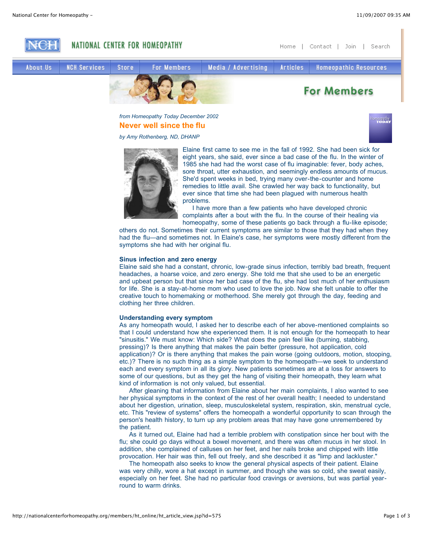lomeopathy



*from Homeopathy Today December 2002* **Never well since the flu**

*by Amy Rothenberg, ND, DHANP*



Elaine first came to see me in the fall of 1992. She had been sick for eight years, she said, ever since a bad case of the flu. In the winter of 1985 she had had the worst case of flu imaginable: fever, body aches, sore throat, utter exhaustion, and seemingly endless amounts of mucus. She'd spent weeks in bed, trying many over-the-counter and home remedies to little avail. She crawled her way back to functionality, but ever since that time she had been plagued with numerous health problems.

I have more than a few patients who have developed chronic complaints after a bout with the flu. In the course of their healing via homeopathy, some of these patients go back through a flu-like episode;

others do not. Sometimes their current symptoms are similar to those that they had when they had the flu—and sometimes not. In Elaine's case, her symptoms were mostly different from the symptoms she had with her original flu.

### **Sinus infection and zero energy**

Elaine said she had a constant, chronic, low-grade sinus infection, terribly bad breath, frequent headaches, a hoarse voice, and zero energy. She told me that she used to be an energetic and upbeat person but that since her bad case of the flu, she had lost much of her enthusiasm for life. She is a stay-at-home mom who used to love the job. Now she felt unable to offer the creative touch to homemaking or motherhood. She merely got through the day, feeding and clothing her three children.

# **Understanding every symptom**

As any homeopath would, I asked her to describe each of her above-mentioned complaints so that I could understand how she experienced them. It is not enough for the homeopath to hear "sinusitis." We must know: Which side? What does the pain feel like (burning, stabbing, pressing)? Is there anything that makes the pain better (pressure, hot application, cold application)? Or is there anything that makes the pain worse (going outdoors, motion, stooping, etc.)? There is no such thing as a simple symptom to the homeopath—we seek to understand each and every symptom in all its glory. New patients sometimes are at a loss for answers to some of our questions, but as they get the hang of visiting their homeopath, they learn what kind of information is not only valued, but essential.

After gleaning that information from Elaine about her main complaints, I also wanted to see her physical symptoms in the context of the rest of her overall health; I needed to understand about her digestion, urination, sleep, musculoskeletal system, respiration, skin, menstrual cycle, etc. This "review of systems" offers the homeopath a wonderful opportunity to scan through the person's health history, to turn up any problem areas that may have gone unremembered by the patient.

As it turned out, Elaine had had a terrible problem with constipation since her bout with the flu; she could go days without a bowel movement, and there was often mucus in her stool. In addition, she complained of calluses on her feet, and her nails broke and chipped with little provocation. Her hair was thin, fell out freely, and she described it as "limp and lackluster."

The homeopath also seeks to know the general physical aspects of their patient. Elaine was very chilly, wore a hat except in summer, and though she was so cold, she sweat easily, especially on her feet. She had no particular food cravings or aversions, but was partial yearround to warm drinks.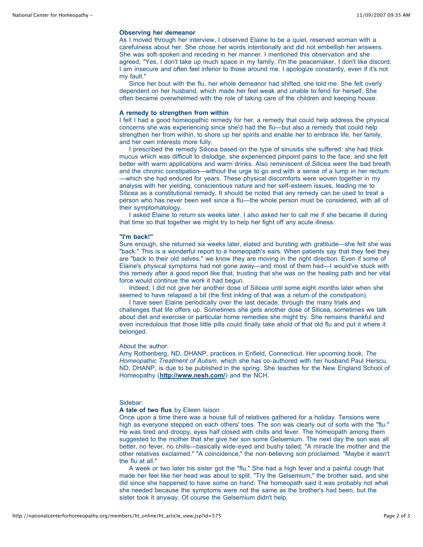# **Observing her demeanor**

As I moved through her interview, I observed Elaine to be a quiet, reserved woman with a carefulness about her. She chose her words intentionally and did not embellish her answers. She was soft-spoken and receding in her manner. I mentioned this observation and she agreed, "Yes, I don't take up much space in my family, I'm the peacemaker, I don't like discord. I am insecure and often feel inferior to those around me. I apologize constantly, even if it's not my fault."

Since her bout with the flu, her whole demeanor had shifted, she told me. She felt overly dependent on her husband, which made her feel weak and unable to fend for herself. She often became overwhelmed with the role of taking care of the children and keeping house.

### **A remedy to strengthen from within**

I felt I had a good homeopathic remedy for her, a remedy that could help address the physical concerns she was experiencing since she'd had the flu—but also a remedy that could help strengthen her from within, to shore up her spirits and enable her to embrace life, her family, and her own interests more fully.

I prescribed the remedy Silicea based on the type of sinusitis she suffered: she had thick mucus which was difficult to dislodge, she experienced pinpoint pains to the face, and she felt better with warm applications and warm drinks. Also reminiscent of Silicea were the bad breath and the chronic constipation—without the urge to go and with a sense of a lump in her rectum —which she had endured for years. These physical discomforts were woven together in my analysis with her yielding, conscientious nature and her self-esteem issues, leading me to Silicea as a constitutional remedy. It should be noted that any remedy can be used to treat a person who has never been well since a flu—the whole person must be considered, with all of their symptomatology.

I asked Elaine to return six weeks later. I also asked her to call me if she became ill during that time so that together we might try to help her fight off any acute illness.

#### **"I'm back!"**

Sure enough, she returned six weeks later, elated and bursting with gratitude—she felt she was "back." This is a wonderful report to a homeopath's ears. When patients say that they feel they are "back to their old selves," we know they are moving in the right direction. Even if some of Elaine's physical symptoms had not gone away—and most of them had—I would've stuck with this remedy after a good report like that, trusting that she was on the healing path and her vital force would continue the work it had begun.

Indeed, I did not give her another dose of Silicea until some eight months later when she seemed to have relapsed a bit (the first inkling of that was a return of the constipation).

I have seen Elaine periodically over the last decade, through the many trials and challenges that life offers up. Sometimes she gets another dose of Silicea, sometimes we talk about diet and exercise or particular home remedies she might try. She remains thankful and even incredulous that those little pills could finally take ahold of that old flu and put it where it belonged.

## About the author:

Amy Rothenberg, ND, DHANP, practices in Enfield, Connecticut. Her upcoming book, *The Homeopathic Treatment of Autism*, which she has co-authored with her husband Paul Herscu, ND, DHANP, is due to be published in the spring. She teaches for the New England School of Homeopathy (**http://www.nesh.com/**) and the NCH.

### Sidebar:

# **A tale of two flus** by Eileen Isison

Once upon a time there was a house full of relatives gathered for a holiday. Tensions were high as everyone stepped on each others' toes. The son was clearly out of sorts with the "flu." He was tired and droopy, eyes half closed with chills and fever. The homeopath among them suggested to the mother that she give her son some Gelsemium. The next day the son was all better, no fever, no chills—basically wide-eyed and bushy tailed. "A miracle the mother and the other relatives exclaimed." "A coincidence," the non-believing son proclaimed. "Maybe it wasn't the flu at all."

A week or two later his sister got the "flu." She had a high fever and a painful cough that made her feel like her head was about to split. "Try the Gelsemium," the brother said, and she did since she happened to have some on hand. The homeopath said it was probably not what she needed because the symptoms were not the same as the brother's had been, but the sister took it anyway. Of course the Gelsemium didn't help.